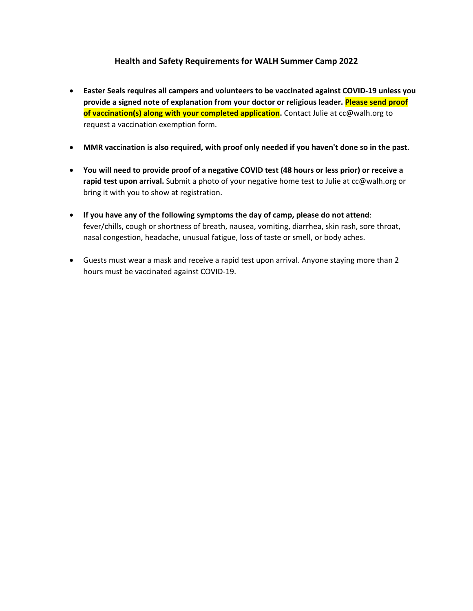## **Health and Safety Requirements for WALH Summer Camp 2022**

- **Easter Seals requires all campers and volunteers to be vaccinated against COVID-19 unless you provide a signed note of explanation from your doctor or religious leader. Please send proof of vaccination(s) along with your completed application.** Contact Julie at cc@walh.org to request a vaccination exemption form.
- **MMR vaccination is also required, with proof only needed if you haven't done so in the past.**
- **You will need to provide proof of a negative COVID test (48 hours or less prior) or receive a rapid test upon arrival.** Submit a photo of your negative home test to Julie at cc@walh.org or bring it with you to show at registration.
- **If you have any of the following symptoms the day of camp, please do not attend**: fever/chills, cough or shortness of breath, nausea, vomiting, diarrhea, skin rash, sore throat, nasal congestion, headache, unusual fatigue, loss of taste or smell, or body aches.
- Guests must wear a mask and receive a rapid test upon arrival. Anyone staying more than 2 hours must be vaccinated against COVID-19.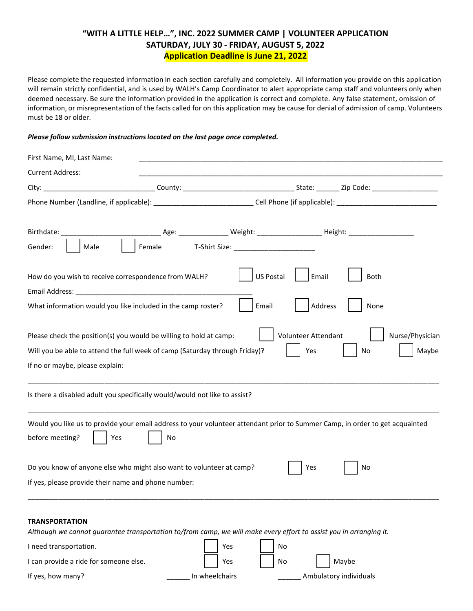# **"WITH A LITTLE HELP…", INC. 2022 SUMMER CAMP | VOLUNTEER APPLICATION SATURDAY, JULY 30 - FRIDAY, AUGUST 5, 2022 Application Deadline is June 21, 2022**

Please complete the requested information in each section carefully and completely. All information you provide on this application will remain strictly confidential, and is used by WALH's Camp Coordinator to alert appropriate camp staff and volunteers only when deemed necessary. Be sure the information provided in the application is correct and complete. Any false statement, omission of information, or misrepresentation of the facts called for on this application may be cause for denial of admission of camp. Volunteers must be 18 or older.

#### *Please follow submission instructionslocated on the last page once completed.*

| First Name, MI, Last Name:             |                                                                                                                                                   |                |                            |                        |                          |
|----------------------------------------|---------------------------------------------------------------------------------------------------------------------------------------------------|----------------|----------------------------|------------------------|--------------------------|
| <b>Current Address:</b>                |                                                                                                                                                   |                |                            |                        |                          |
|                                        |                                                                                                                                                   |                |                            |                        |                          |
|                                        | Phone Number (Landline, if applicable): _________________________________Cell Phone (if applicable): __________________________________           |                |                            |                        |                          |
| Birthdate: _____________               | ________________Age: _________________________Weight: ______________________Height: _____________________                                         |                |                            |                        |                          |
| Gender:<br>Male                        | Female                                                                                                                                            |                |                            |                        |                          |
| Email Address:                         | How do you wish to receive correspondence from WALH?                                                                                              |                | <b>US Postal</b><br>Email  | Both                   |                          |
|                                        | What information would you like included in the camp roster?                                                                                      |                | Email                      | Address<br>None        |                          |
| If no or maybe, please explain:        | Please check the position(s) you would be willing to hold at camp:<br>Will you be able to attend the full week of camp (Saturday through Friday)? |                | Volunteer Attendant<br>Yes | No                     | Nurse/Physician<br>Maybe |
|                                        | Is there a disabled adult you specifically would/would not like to assist?                                                                        |                |                            |                        |                          |
| before meeting?                        | Would you like us to provide your email address to your volunteer attendant prior to Summer Camp, in order to get acquainted<br>Yes<br>No         |                |                            |                        |                          |
|                                        | Do you know of anyone else who might also want to volunteer at camp?                                                                              |                | Yes                        | No                     |                          |
|                                        | If yes, please provide their name and phone number:                                                                                               |                |                            |                        |                          |
| <b>TRANSPORTATION</b>                  | Although we cannot guarantee transportation to/from camp, we will make every effort to assist you in arranging it.                                |                |                            |                        |                          |
| I need transportation.                 |                                                                                                                                                   | Yes            | No                         |                        |                          |
| I can provide a ride for someone else. |                                                                                                                                                   | Yes            | No                         | Maybe                  |                          |
| If yes, how many?                      |                                                                                                                                                   | In wheelchairs |                            | Ambulatory individuals |                          |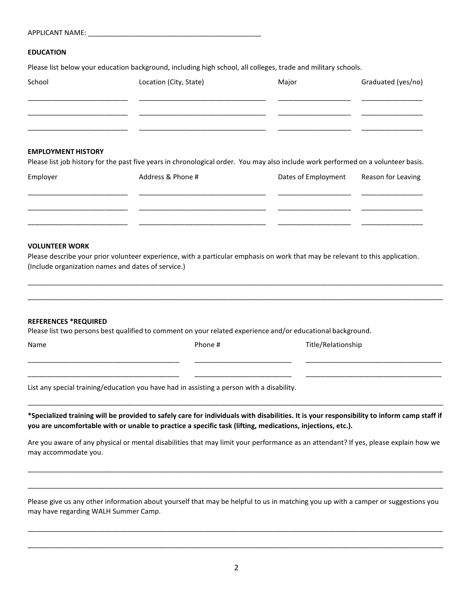| <b>APPLICANT NAME:</b> |  |
|------------------------|--|
|                        |  |

#### **EDUCATION**

Please list below your education background, including high school, all colleges, trade and military schools.

| School                  | Location (City, State) | Major | Graduated (yes/no) |
|-------------------------|------------------------|-------|--------------------|
|                         |                        |       |                    |
|                         |                        |       |                    |
| _______________________ |                        |       |                    |

### **EMPLOYMENT HISTORY**

Please list job history for the past five years in chronological order. You may also include work performed on a volunteer basis.

| Employer | Address & Phone # | Dates of Employment | Reason for Leaving |
|----------|-------------------|---------------------|--------------------|
|          |                   |                     |                    |
|          |                   |                     |                    |

#### **VOLUNTEER WORK**

Please describe your prior volunteer experience, with a particular emphasis on work that may be relevant to this application. (Include organization names and dates of service.)

\_\_\_\_\_\_\_\_\_\_\_\_\_\_\_\_\_\_\_\_\_\_\_\_\_\_\_\_\_\_\_\_\_\_\_\_\_\_\_\_\_\_\_\_\_\_\_\_\_\_\_\_\_\_\_\_\_\_\_\_\_\_\_\_\_\_\_\_\_\_\_\_\_\_\_\_\_\_\_\_\_\_\_\_\_\_\_\_\_\_\_\_\_\_\_\_\_\_\_\_\_\_\_\_\_\_\_\_ \_\_\_\_\_\_\_\_\_\_\_\_\_\_\_\_\_\_\_\_\_\_\_\_\_\_\_\_\_\_\_\_\_\_\_\_\_\_\_\_\_\_\_\_\_\_\_\_\_\_\_\_\_\_\_\_\_\_\_\_\_\_\_\_\_\_\_\_\_\_\_\_\_\_\_\_\_\_\_\_\_\_\_\_\_\_\_\_\_\_\_\_\_\_\_\_\_\_\_\_\_\_\_\_\_\_\_\_

#### **REFERENCES \*REQUIRED**

Please list two persons best qualified to comment on your related experience and/or educational background.

| vame |
|------|
|      |

Phone # Title/Relationship

List any special training/education you have had in assisting a person with a disability.

**\*Specialized training will be provided to safely care for individuals with disabilities. It is your responsibility to inform camp staff if you are uncomfortable with or unable to practice a specific task (lifting, medications, injections, etc.).**

\_\_\_\_\_\_\_\_\_\_\_\_\_\_\_\_\_\_\_\_\_\_\_\_\_\_\_\_\_\_\_\_\_\_\_\_\_\_\_\_\_\_\_\_\_\_\_\_\_\_\_\_\_\_\_\_\_\_\_\_\_\_\_\_\_\_\_\_\_\_\_\_\_\_\_\_\_\_\_\_\_\_\_\_\_\_\_\_\_\_\_\_\_\_\_\_\_\_\_\_\_\_\_\_\_\_\_\_

\_\_\_\_\_\_\_\_\_\_\_\_\_\_\_\_\_\_\_\_\_\_\_\_\_\_\_\_\_\_\_\_\_\_\_\_\_\_\_ \_\_\_\_\_\_\_\_\_\_\_\_\_\_\_\_\_\_\_\_\_\_\_\_\_ \_\_\_\_\_\_\_\_\_\_\_\_\_\_\_\_\_\_\_\_\_\_\_\_\_\_\_\_\_\_\_\_\_\_\_ \_\_\_\_\_\_\_\_\_\_\_\_\_\_\_\_\_\_\_\_\_\_\_\_\_\_\_\_\_\_\_\_\_\_\_\_\_\_\_ \_\_\_\_\_\_\_\_\_\_\_\_\_\_\_\_\_\_\_\_\_\_\_\_\_ \_\_\_\_\_\_\_\_\_\_\_\_\_\_\_\_\_\_\_\_\_\_\_\_\_\_\_\_\_\_\_\_\_\_\_

Are you aware of any physical or mental disabilities that may limit your performance as an attendant? If yes, please explain how we may accommodate you.

\_\_\_\_\_\_\_\_\_\_\_\_\_\_\_\_\_\_\_\_\_\_\_\_\_\_\_\_\_\_\_\_\_\_\_\_\_\_\_\_\_\_\_\_\_\_\_\_\_\_\_\_\_\_\_\_\_\_\_\_\_\_\_\_\_\_\_\_\_\_\_\_\_\_\_\_\_\_\_\_\_\_\_\_\_\_\_\_\_\_\_\_\_\_\_\_\_\_\_\_\_\_\_\_\_\_\_\_

\_\_\_\_\_\_\_\_\_\_\_\_\_\_\_\_\_\_\_\_\_\_\_\_\_\_\_\_\_\_\_\_\_\_\_\_\_\_\_\_\_\_\_\_\_\_\_\_\_\_\_\_\_\_\_\_\_\_\_\_\_\_\_\_\_\_\_\_\_\_\_\_\_\_\_\_\_\_\_\_\_\_\_\_\_\_\_\_\_\_\_\_\_\_\_\_\_\_\_\_\_\_\_\_\_\_\_\_

Please give us any other information about yourself that may be helpful to us in matching you up with a camper or suggestions you may have regarding WALH Summer Camp.

\_\_\_\_\_\_\_\_\_\_\_\_\_\_\_\_\_\_\_\_\_\_\_\_\_\_\_\_\_\_\_\_\_\_\_\_\_\_\_\_\_\_\_\_\_\_\_\_\_\_\_\_\_\_\_\_\_\_\_\_\_\_\_\_\_\_\_\_\_\_\_\_\_\_\_\_\_\_\_\_\_\_\_\_\_\_\_\_\_\_\_\_\_\_\_\_\_\_\_\_\_\_\_\_\_\_\_\_

\_\_\_\_\_\_\_\_\_\_\_\_\_\_\_\_\_\_\_\_\_\_\_\_\_\_\_\_\_\_\_\_\_\_\_\_\_\_\_\_\_\_\_\_\_\_\_\_\_\_\_\_\_\_\_\_\_\_\_\_\_\_\_\_\_\_\_\_\_\_\_\_\_\_\_\_\_\_\_\_\_\_\_\_\_\_\_\_\_\_\_\_\_\_\_\_\_\_\_\_\_\_\_\_\_\_\_\_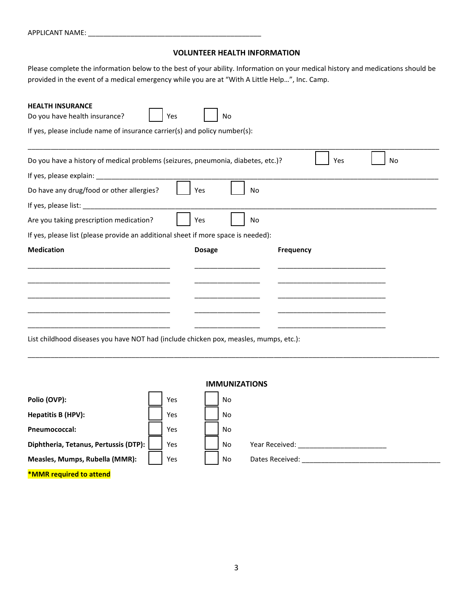| <b>APPLICANT NAME:</b> |  |
|------------------------|--|
|                        |  |

## **VOLUNTEER HEALTH INFORMATION**

Please complete the information below to the best of your ability. Information on your medical history and medications should be provided in the event of a medical emergency while you are at "With A Little Help…", Inc. Camp.

| <b>HEALTH INSURANCE</b><br>Do you have health insurance?<br>Yes                        | No            |                  |     |    |
|----------------------------------------------------------------------------------------|---------------|------------------|-----|----|
| If yes, please include name of insurance carrier(s) and policy number(s):              |               |                  |     |    |
| Do you have a history of medical problems (seizures, pneumonia, diabetes, etc.)?       |               |                  | Yes | No |
|                                                                                        |               |                  |     |    |
| Do have any drug/food or other allergies?                                              | Yes           | No               |     |    |
|                                                                                        |               |                  |     |    |
| Are you taking prescription medication?                                                | Yes           | No               |     |    |
| If yes, please list (please provide an additional sheet if more space is needed):      |               |                  |     |    |
| <b>Medication</b>                                                                      | <b>Dosage</b> | <b>Frequency</b> |     |    |
|                                                                                        |               |                  |     |    |
|                                                                                        |               |                  |     |    |
|                                                                                        |               |                  |     |    |
| <u> 1989 - Johann John Stein, markin amerikan bizi da</u>                              |               |                  |     |    |
| List childhood diseases you have $NOT$ had (include chicken noy, measles, mumns, ats); |               |                  |     |    |

List childhood diseases you have NOT had (include chicken pox, measles, mumps, etc.):

|                                       |     | <b>IMMUNIZATIONS</b> |                 |
|---------------------------------------|-----|----------------------|-----------------|
| Polio (OVP):                          | Yes | No                   |                 |
| Hepatitis B (HPV):                    | Yes | No                   |                 |
| <b>Pneumococcal:</b>                  | Yes | No                   |                 |
| Diphtheria, Tetanus, Pertussis (DTP): | Yes | No                   | Year Received:  |
| Measles, Mumps, Rubella (MMR):        | Yes | No                   | Dates Received: |
| *MMR required to attend               |     |                      |                 |

\_\_\_\_\_\_\_\_\_\_\_\_\_\_\_\_\_\_\_\_\_\_\_\_\_\_\_\_\_\_\_\_\_\_\_\_\_\_\_\_\_\_\_\_\_\_\_\_\_\_\_\_\_\_\_\_\_\_\_\_\_\_\_\_\_\_\_\_\_\_\_\_\_\_\_\_\_\_\_\_\_\_\_\_\_\_\_\_\_\_\_\_\_\_\_\_\_\_\_\_\_\_\_\_\_\_\_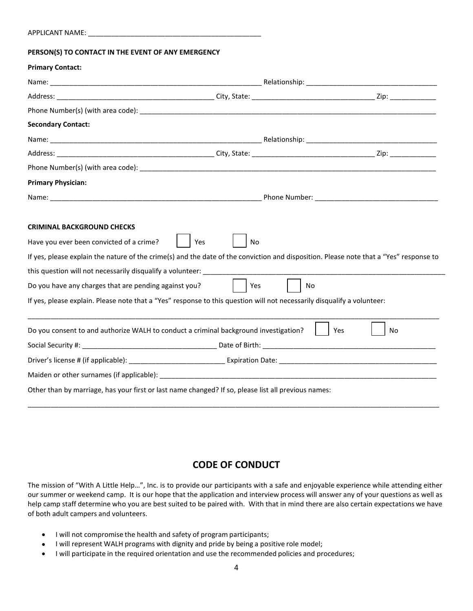| <b>APPLICANT NAME:</b> |  |
|------------------------|--|
|                        |  |

#### **PERSON(S) TO CONTACT IN THE EVENT OF ANY EMERGENCY**

### **Primary Contact:**

| <b>Secondary Contact:</b>                             |                                                                                                                                        |           |
|-------------------------------------------------------|----------------------------------------------------------------------------------------------------------------------------------------|-----------|
|                                                       |                                                                                                                                        |           |
|                                                       |                                                                                                                                        |           |
|                                                       |                                                                                                                                        |           |
| <b>Primary Physician:</b>                             |                                                                                                                                        |           |
|                                                       |                                                                                                                                        |           |
|                                                       |                                                                                                                                        |           |
| <b>CRIMINAL BACKGROUND CHECKS</b>                     |                                                                                                                                        |           |
| Have you ever been convicted of a crime?              | <b>No</b><br>Yes                                                                                                                       |           |
|                                                       | If yes, please explain the nature of the crime(s) and the date of the conviction and disposition. Please note that a "Yes" response to |           |
|                                                       |                                                                                                                                        |           |
| Do you have any charges that are pending against you? | Yes<br>No                                                                                                                              |           |
|                                                       | If yes, please explain. Please note that a "Yes" response to this question will not necessarily disqualify a volunteer:                |           |
|                                                       |                                                                                                                                        |           |
|                                                       | Do you consent to and authorize WALH to conduct a criminal background investigation?                                                   | Yes<br>No |
|                                                       |                                                                                                                                        |           |
|                                                       |                                                                                                                                        |           |
|                                                       |                                                                                                                                        |           |
|                                                       | Other than by marriage, has your first or last name changed? If so, please list all previous names:                                    |           |
|                                                       |                                                                                                                                        |           |

# **CODE OF CONDUCT**

The mission of "With A Little Help…", Inc. is to provide our participants with a safe and enjoyable experience while attending either our summer or weekend camp. It is our hope that the application and interview process will answer any of your questions as well as help camp staff determine who you are best suited to be paired with. With that in mind there are also certain expectations we have of both adult campers and volunteers.

- I will not compromise the health and safety of program participants;
- I will represent WALH programs with dignity and pride by being a positive role model;
- I will participate in the required orientation and use the recommended policies and procedures;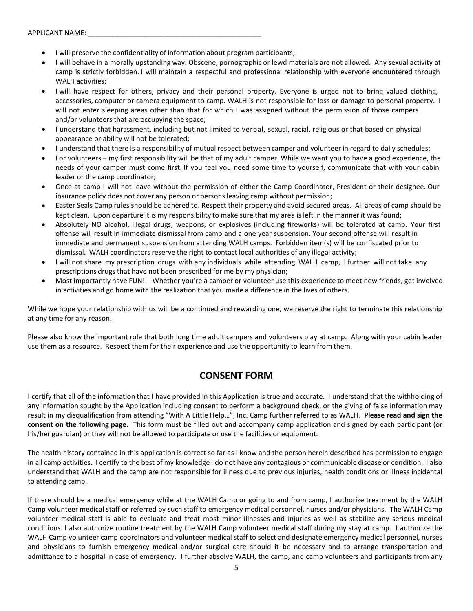- I will preserve the confidentiality of information about program participants;
- I will behave in a morally upstanding way. Obscene, pornographic or lewd materials are not allowed. Any sexual activity at camp is strictly forbidden. I will maintain a respectful and professional relationship with everyone encountered through WALH activities;
- I will have respect for others, privacy and their personal property. Everyone is urged not to bring valued clothing, accessories, computer or camera equipment to camp. WALH is not responsible for loss or damage to personal property. I will not enter sleeping areas other than that for which I was assigned without the permission of those campers and/or volunteers that are occupying the space;
- I understand that harassment, including but not limited to verbal, sexual, racial, religious or that based on physical appearance or ability will not be tolerated;
- I understand that there is a responsibility of mutual respect between camper and volunteer in regard to daily schedules;
- For volunteers my first responsibility will be that of my adult camper. While we want you to have a good experience, the needs of your camper must come first. If you feel you need some time to yourself, communicate that with your cabin leader or the camp coordinator;
- Once at camp I will not leave without the permission of either the Camp Coordinator, President or their designee. Our insurance policy does not cover any person or persons leaving camp without permission;
- Easter Seals Camp rules should be adhered to. Respect their property and avoid secured areas. All areas of camp should be kept clean. Upon departure it is my responsibility to make sure that my area is left in the manner it was found;
- Absolutely NO alcohol, illegal drugs, weapons, or explosives (including fireworks) will be tolerated at camp. Your first offense will result in immediate dismissal from camp and a one year suspension. Your second offense will result in immediate and permanent suspension from attending WALH camps. Forbidden item(s) will be confiscated prior to dismissal. WALH coordinatorsreserve the right to contact local authorities of any illegal activity;
- I will not share my prescription drugs with any individuals while attending WALH camp, I further will not take any prescriptions drugs that have not been prescribed for me by my physician;
- Most importantly have FUN! Whether you're a camper or volunteer use this experience to meet new friends, get involved in activities and go home with the realization that you made a difference in the lives of others.

While we hope your relationship with us will be a continued and rewarding one, we reserve the right to terminate this relationship at any time for any reason.

Please also know the important role that both long time adult campers and volunteers play at camp. Along with your cabin leader use them as a resource. Respect them for their experience and use the opportunity to learn from them.

# **CONSENT FORM**

I certify that all of the information that I have provided in this Application is true and accurate. I understand that the withholding of any information sought by the Application including consent to perform a background check, or the giving of false information may result in my disqualification from attending "With A Little Help…", Inc. Camp further referred to as WALH. **Please read and sign the consent on the following page.** This form must be filled out and accompany camp application and signed by each participant (or his/her guardian) or they will not be allowed to participate or use the facilities or equipment.

The health history contained in this application is correct so far as I know and the person herein described has permission to engage in all camp activities. I certify to the best of my knowledge I do not have any contagious or communicable disease or condition. I also understand that WALH and the camp are not responsible for illness due to previous injuries, health conditions or illness incidental to attending camp.

If there should be a medical emergency while at the WALH Camp or going to and from camp, I authorize treatment by the WALH Camp volunteer medical staff or referred by such staff to emergency medical personnel, nurses and/or physicians. The WALH Camp volunteer medical staff is able to evaluate and treat most minor illnesses and injuries as well as stabilize any serious medical conditions. I also authorize routine treatment by the WALH Camp volunteer medical staff during my stay at camp. I authorize the WALH Camp volunteer camp coordinators and volunteer medical staff to select and designate emergency medical personnel, nurses and physicians to furnish emergency medical and/or surgical care should it be necessary and to arrange transportation and admittance to a hospital in case of emergency. I further absolve WALH, the camp, and camp volunteers and participants from any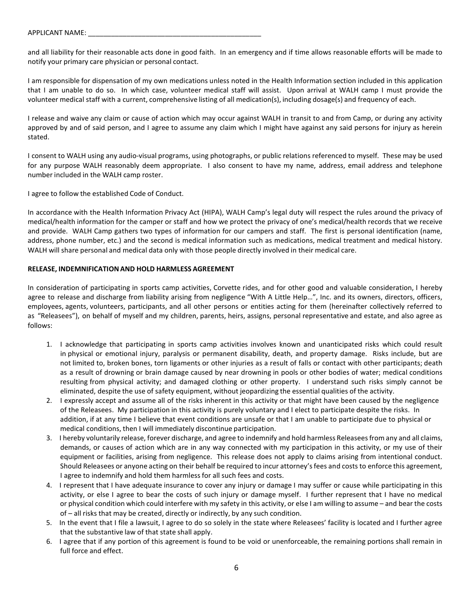and all liability for their reasonable acts done in good faith. In an emergency and if time allows reasonable efforts will be made to notify your primary care physician or personal contact.

I am responsible for dispensation of my own medications unless noted in the Health Information section included in this application that I am unable to do so. In which case, volunteer medical staff will assist. Upon arrival at WALH camp I must provide the volunteer medical staff with a current, comprehensive listing of all medication(s), including dosage(s) and frequency of each.

I release and waive any claim or cause of action which may occur against WALH in transit to and from Camp, or during any activity approved by and of said person, and I agree to assume any claim which I might have against any said persons for injury as herein stated.

I consent to WALH using any audio-visual programs, using photographs, or public relations referenced to myself. These may be used for any purpose WALH reasonably deem appropriate. I also consent to have my name, address, email address and telephone number included in the WALH camp roster.

I agree to follow the established Code of Conduct.

In accordance with the Health Information Privacy Act (HIPA), WALH Camp's legal duty will respect the rules around the privacy of medical/health information for the camper or staff and how we protect the privacy of one's medical/health records that we receive and provide. WALH Camp gathers two types of information for our campers and staff. The first is personal identification (name, address, phone number, etc.) and the second is medical information such as medications, medical treatment and medical history. WALH will share personal and medical data only with those people directly involved in their medical care.

### **RELEASE, INDEMNIFICATION AND HOLD HARMLESS AGREEMENT**

In consideration of participating in sports camp activities, Corvette rides, and for other good and valuable consideration, I hereby agree to release and discharge from liability arising from negligence "With A Little Help…", Inc. and its owners, directors, officers, employees, agents, volunteers, participants, and all other persons or entities acting for them (hereinafter collectively referred to as "Releasees"), on behalf of myself and my children, parents, heirs, assigns, personal representative and estate, and also agree as follows:

- 1. I acknowledge that participating in sports camp activities involves known and unanticipated risks which could result in physical or emotional injury, paralysis or permanent disability, death, and property damage. Risks include, but are not limited to, broken bones, torn ligaments or other injuries as a result of falls or contact with other participants; death as a result of drowning or brain damage caused by near drowning in pools or other bodies of water; medical conditions resulting from physical activity; and damaged clothing or other property. I understand such risks simply cannot be eliminated, despite the use of safety equipment, without jeopardizing the essential qualities of the activity.
- 2. I expressly accept and assume all of the risks inherent in this activity or that might have been caused by the negligence of the Releasees. My participation in this activity is purely voluntary and I elect to participate despite the risks. In addition, if at any time I believe that event conditions are unsafe or that I am unable to participate due to physical or medical conditions, then I will immediately discontinue participation.
- 3. I hereby voluntarily release, forever discharge, and agree to indemnify and hold harmless Releasees from any and all claims, demands, or causes of action which are in any way connected with my participation in this activity, or my use of their equipment or facilities, arising from negligence. This release does not apply to claims arising from intentional conduct. Should Releasees or anyone acting on their behalf be required to incur attorney's fees and costs to enforce this agreement, I agree to indemnify and hold them harmless for all such fees and costs.
- 4. I represent that I have adequate insurance to cover any injury or damage I may suffer or cause while participating in this activity, or else I agree to bear the costs of such injury or damage myself. I further represent that I have no medical or physical condition which could interfere with my safety in this activity, or else I am willing to assume – and bear the costs of – all risks that may be created, directly or indirectly, by any such condition.
- 5. In the event that I file a lawsuit, I agree to do so solely in the state where Releasees' facility is located and I further agree that the substantive law of that state shall apply.
- 6. I agree that if any portion of this agreement is found to be void or unenforceable, the remaining portions shall remain in full force and effect.